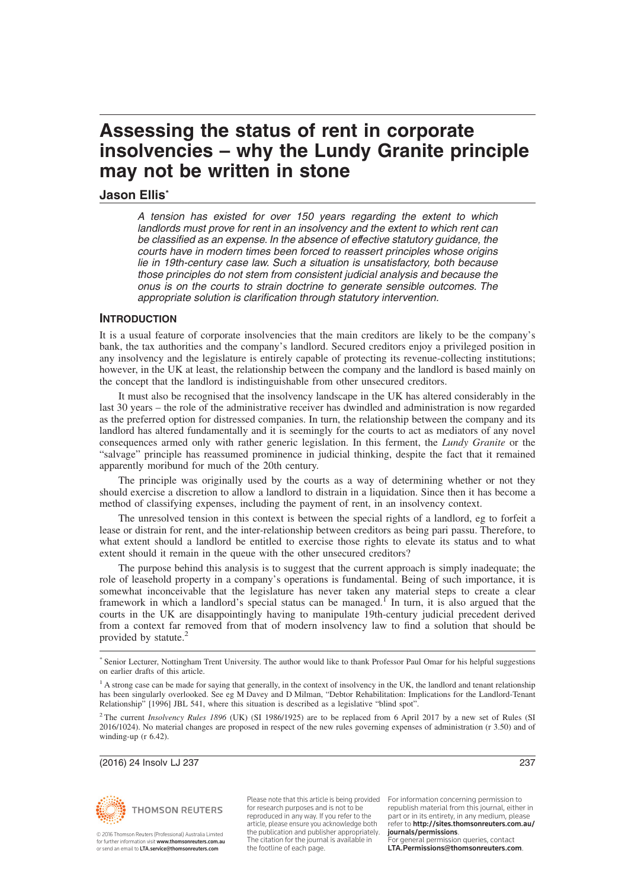## **Jason Ellis\***

A tension has existed for over 150 years regarding the extent to which landlords must prove for rent in an insolvency and the extent to which rent can be classified as an expense. In the absence of effective statutory guidance, the courts have in modern times been forced to reassert principles whose origins lie in 19th-century case law. Such a situation is unsatisfactory, both because those principles do not stem from consistent judicial analysis and because the onus is on the courts to strain doctrine to generate sensible outcomes. The appropriate solution is clarification through statutory intervention.

# **INTRODUCTION**

It is a usual feature of corporate insolvencies that the main creditors are likely to be the company's bank, the tax authorities and the company's landlord. Secured creditors enjoy a privileged position in any insolvency and the legislature is entirely capable of protecting its revenue-collecting institutions; however, in the UK at least, the relationship between the company and the landlord is based mainly on the concept that the landlord is indistinguishable from other unsecured creditors.

It must also be recognised that the insolvency landscape in the UK has altered considerably in the last 30 years – the role of the administrative receiver has dwindled and administration is now regarded as the preferred option for distressed companies. In turn, the relationship between the company and its landlord has altered fundamentally and it is seemingly for the courts to act as mediators of any novel consequences armed only with rather generic legislation. In this ferment, the *Lundy Granite* or the "salvage" principle has reassumed prominence in judicial thinking, despite the fact that it remained apparently moribund for much of the 20th century.

The principle was originally used by the courts as a way of determining whether or not they should exercise a discretion to allow a landlord to distrain in a liquidation. Since then it has become a method of classifying expenses, including the payment of rent, in an insolvency context.

The unresolved tension in this context is between the special rights of a landlord, eg to forfeit a lease or distrain for rent, and the inter-relationship between creditors as being pari passu. Therefore, to what extent should a landlord be entitled to exercise those rights to elevate its status and to what extent should it remain in the queue with the other unsecured creditors?

The purpose behind this analysis is to suggest that the current approach is simply inadequate; the role of leasehold property in a company's operations is fundamental. Being of such importance, it is somewhat inconceivable that the legislature has never taken any material steps to create a clear framework in which a landlord's special status can be managed.<sup>I</sup> In turn, it is also argued that the courts in the UK are disappointingly having to manipulate 19th-century judicial precedent derived from a context far removed from that of modern insolvency law to find a solution that should be provided by statute.<sup>2</sup>

(2016) 24 Insolv LJ 237 237



© 2016 Thomson Reuters (Professional) Australia Limited<br>for further information visit **www.thomsonreuters.com.au** or send an email to LTA.service@thomsonreuters.com

Please note that this article is being provided for research purposes and is not to be reproduced in any way. If you refer to the article, please ensure you acknowledge both the publication and publisher appropriately. The citation for the journal is available in the footline of each page.

For information concerning permission to republish material from this journal, either in part or in its entirety, in any medium, please refer to http://sites.thomsonreuters.com.au/ journals/permissions. For general permission queries, contact

LTA.Permissions@thomsonreuters.com.

<sup>\*</sup> Senior Lecturer, Nottingham Trent University. The author would like to thank Professor Paul Omar for his helpful suggestions on earlier drafts of this article.

<sup>&</sup>lt;sup>1</sup> A strong case can be made for saying that generally, in the context of insolvency in the UK, the landlord and tenant relationship has been singularly overlooked. See eg M Davey and D Milman, "Debtor Rehabilitation: Implications for the Landlord-Tenant Relationship" [1996] JBL 541, where this situation is described as a legislative "blind spot".

<sup>&</sup>lt;sup>2</sup> The current *Insolvency Rules 1896* (UK) (SI 1986/1925) are to be replaced from 6 April 2017 by a new set of Rules (SI 2016/1024). No material changes are proposed in respect of the new rules governing expenses of administration (r 3.50) and of winding-up (r 6.42).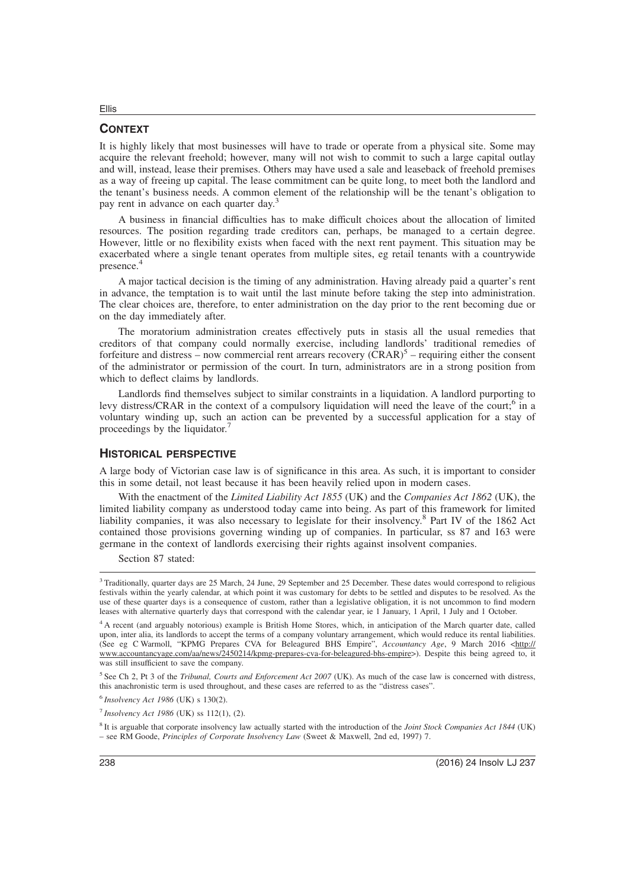## **CONTEXT**

Ellis

It is highly likely that most businesses will have to trade or operate from a physical site. Some may acquire the relevant freehold; however, many will not wish to commit to such a large capital outlay and will, instead, lease their premises. Others may have used a sale and leaseback of freehold premises as a way of freeing up capital. The lease commitment can be quite long, to meet both the landlord and the tenant's business needs. A common element of the relationship will be the tenant's obligation to pay rent in advance on each quarter day.<sup>3</sup>

A business in financial difficulties has to make difficult choices about the allocation of limited resources. The position regarding trade creditors can, perhaps, be managed to a certain degree. However, little or no flexibility exists when faced with the next rent payment. This situation may be exacerbated where a single tenant operates from multiple sites, eg retail tenants with a countrywide presence.<sup>4</sup>

A major tactical decision is the timing of any administration. Having already paid a quarter's rent in advance, the temptation is to wait until the last minute before taking the step into administration. The clear choices are, therefore, to enter administration on the day prior to the rent becoming due or on the day immediately after.

The moratorium administration creates effectively puts in stasis all the usual remedies that creditors of that company could normally exercise, including landlords' traditional remedies of forfeiture and distress – now commercial rent arrears recovery  $(\overline{C}RAR)^5$  – requiring either the consent of the administrator or permission of the court. In turn, administrators are in a strong position from which to deflect claims by landlords.

Landlords find themselves subject to similar constraints in a liquidation. A landlord purporting to levy distress/CRAR in the context of a compulsory liquidation will need the leave of the court;<sup>6</sup> in a voluntary winding up, such an action can be prevented by a successful application for a stay of proceedings by the liquidator.<sup>7</sup>

#### **HISTORICAL PERSPECTIVE**

A large body of Victorian case law is of significance in this area. As such, it is important to consider this in some detail, not least because it has been heavily relied upon in modern cases.

With the enactment of the *Limited Liability Act 1855* (UK) and the *Companies Act 1862* (UK), the limited liability company as understood today came into being. As part of this framework for limited liability companies, it was also necessary to legislate for their insolvency.<sup>8</sup> Part IV of the 1862 Act contained those provisions governing winding up of companies. In particular, ss 87 and 163 were germane in the context of landlords exercising their rights against insolvent companies.

Section 87 stated:

5 See Ch 2, Pt 3 of the *Tribunal, Courts and Enforcement Act 2007* (UK). As much of the case law is concerned with distress, this anachronistic term is used throughout, and these cases are referred to as the "distress cases".

6 *Insolvency Act 1986* (UK) s 130(2).

7 *Insolvency Act 1986* (UK) ss 112(1), (2).

8 It is arguable that corporate insolvency law actually started with the introduction of the *Joint Stock Companies Act 1844* (UK) – see RM Goode, *Principles of Corporate Insolvency Law* (Sweet & Maxwell, 2nd ed, 1997) 7.

<sup>&</sup>lt;sup>3</sup> Traditionally, quarter days are 25 March, 24 June, 29 September and 25 December. These dates would correspond to religious festivals within the yearly calendar, at which point it was customary for debts to be settled and disputes to be resolved. As the use of these quarter days is a consequence of custom, rather than a legislative obligation, it is not uncommon to find modern leases with alternative quarterly days that correspond with the calendar year, ie 1 January, 1 April, 1 July and 1 October.

<sup>4</sup> A recent (and arguably notorious) example is British Home Stores, which, in anticipation of the March quarter date, called upon, inter alia, its landlords to accept the terms of a company voluntary arrangement, which would reduce its rental liabilities. (See eg C Warmoll, "KPMG Prepares CVA for Beleagured BHS Empire", *Accountancy Age*, 9 March 2016 <http:// www.accountancyage.com/aa/news/2450214/kpmg-prepares-cva-for-beleagured-bhs-empire>). Despite this being agreed to, it was still insufficient to save the company.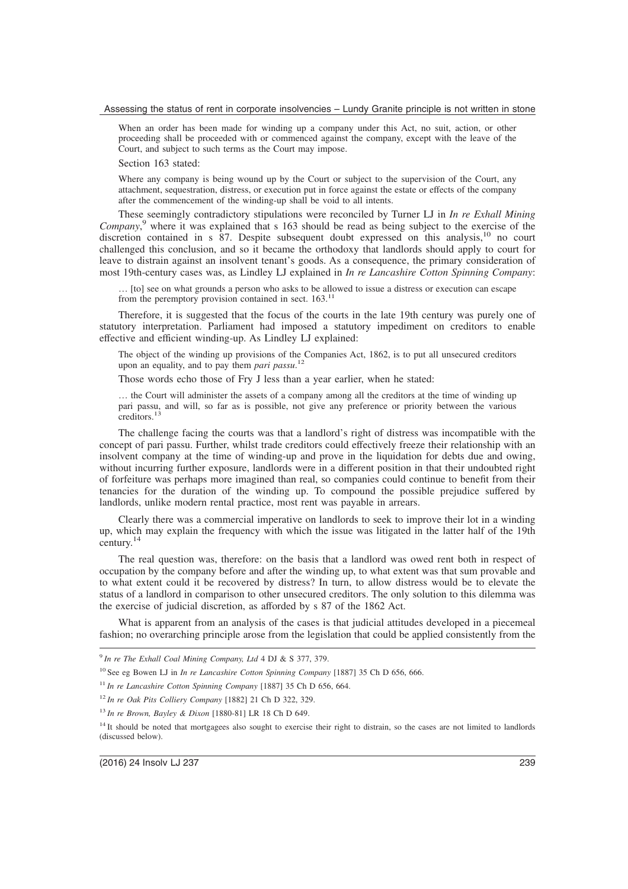When an order has been made for winding up a company under this Act, no suit, action, or other proceeding shall be proceeded with or commenced against the company, except with the leave of the Court, and subject to such terms as the Court may impose.

Section 163 stated:

Where any company is being wound up by the Court or subject to the supervision of the Court, any attachment, sequestration, distress, or execution put in force against the estate or effects of the company after the commencement of the winding-up shall be void to all intents.

These seemingly contradictory stipulations were reconciled by Turner LJ in *In re Exhall Mining Company*, <sup>9</sup> where it was explained that s 163 should be read as being subject to the exercise of the discretion contained in s 87. Despite subsequent doubt expressed on this analysis,<sup>10</sup> no court challenged this conclusion, and so it became the orthodoxy that landlords should apply to court for leave to distrain against an insolvent tenant's goods. As a consequence, the primary consideration of most 19th-century cases was, as Lindley LJ explained in *In re Lancashire Cotton Spinning Company*:

… [to] see on what grounds a person who asks to be allowed to issue a distress or execution can escape from the peremptory provision contained in sect.  $163$ <sup>11</sup>

Therefore, it is suggested that the focus of the courts in the late 19th century was purely one of statutory interpretation. Parliament had imposed a statutory impediment on creditors to enable effective and efficient winding-up. As Lindley LJ explained:

The object of the winding up provisions of the Companies Act, 1862, is to put all unsecured creditors upon an equality, and to pay them *pari passu*. 12

Those words echo those of Fry J less than a year earlier, when he stated:

… the Court will administer the assets of a company among all the creditors at the time of winding up pari passu, and will, so far as is possible, not give any preference or priority between the various creditors.<sup>13</sup>

The challenge facing the courts was that a landlord's right of distress was incompatible with the concept of pari passu. Further, whilst trade creditors could effectively freeze their relationship with an insolvent company at the time of winding-up and prove in the liquidation for debts due and owing, without incurring further exposure, landlords were in a different position in that their undoubted right of forfeiture was perhaps more imagined than real, so companies could continue to benefit from their tenancies for the duration of the winding up. To compound the possible prejudice suffered by landlords, unlike modern rental practice, most rent was payable in arrears.

Clearly there was a commercial imperative on landlords to seek to improve their lot in a winding up, which may explain the frequency with which the issue was litigated in the latter half of the 19th century.<sup>14</sup>

The real question was, therefore: on the basis that a landlord was owed rent both in respect of occupation by the company before and after the winding up, to what extent was that sum provable and to what extent could it be recovered by distress? In turn, to allow distress would be to elevate the status of a landlord in comparison to other unsecured creditors. The only solution to this dilemma was the exercise of judicial discretion, as afforded by s 87 of the 1862 Act.

What is apparent from an analysis of the cases is that judicial attitudes developed in a piecemeal fashion; no overarching principle arose from the legislation that could be applied consistently from the

<sup>9</sup> *In re The Exhall Coal Mining Company, Ltd* 4 DJ & S 377, 379.

<sup>10</sup> See eg Bowen LJ in *In re Lancashire Cotton Spinning Company* [1887] 35 Ch D 656, 666.

<sup>11</sup> *In re Lancashire Cotton Spinning Company* [1887] 35 Ch D 656, 664.

<sup>12</sup> *In re Oak Pits Colliery Company* [1882] 21 Ch D 322, 329.

<sup>13</sup> *In re Brown, Bayley & Dixon* [1880-81] LR 18 Ch D 649.

<sup>&</sup>lt;sup>14</sup> It should be noted that mortgagees also sought to exercise their right to distrain, so the cases are not limited to landlords (discussed below).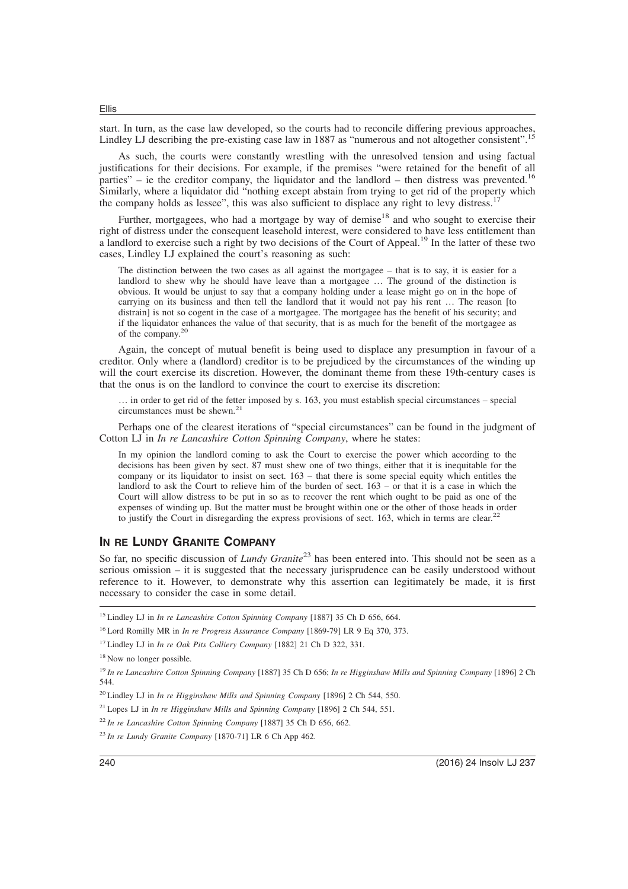start. In turn, as the case law developed, so the courts had to reconcile differing previous approaches, Lindley LJ describing the pre-existing case law in 1887 as "numerous and not altogether consistent".<sup>15</sup>

As such, the courts were constantly wrestling with the unresolved tension and using factual justifications for their decisions. For example, if the premises "were retained for the benefit of all parties" – ie the creditor company, the liquidator and the landlord – then distress was prevented.<sup>16</sup> Similarly, where a liquidator did "nothing except abstain from trying to get rid of the property which the company holds as lessee", this was also sufficient to displace any right to levy distress.<sup>1</sup>

Further, mortgagees, who had a mortgage by way of demise<sup>18</sup> and who sought to exercise their right of distress under the consequent leasehold interest, were considered to have less entitlement than a landlord to exercise such a right by two decisions of the Court of Appeal.<sup>19</sup> In the latter of these two cases, Lindley LJ explained the court's reasoning as such:

The distinction between the two cases as all against the mortgagee – that is to say, it is easier for a landlord to shew why he should have leave than a mortgagee ... The ground of the distinction is obvious. It would be unjust to say that a company holding under a lease might go on in the hope of carrying on its business and then tell the landlord that it would not pay his rent … The reason [to distrain] is not so cogent in the case of a mortgagee. The mortgagee has the benefit of his security; and if the liquidator enhances the value of that security, that is as much for the benefit of the mortgagee as of the company.<sup>20</sup>

Again, the concept of mutual benefit is being used to displace any presumption in favour of a creditor. Only where a (landlord) creditor is to be prejudiced by the circumstances of the winding up will the court exercise its discretion. However, the dominant theme from these 19th-century cases is that the onus is on the landlord to convince the court to exercise its discretion:

… in order to get rid of the fetter imposed by s. 163, you must establish special circumstances – special circumstances must be shewn.<sup>21</sup>

Perhaps one of the clearest iterations of "special circumstances" can be found in the judgment of Cotton LJ in *In re Lancashire Cotton Spinning Company*, where he states:

In my opinion the landlord coming to ask the Court to exercise the power which according to the decisions has been given by sect. 87 must shew one of two things, either that it is inequitable for the company or its liquidator to insist on sect. 163 – that there is some special equity which entitles the landlord to ask the Court to relieve him of the burden of sect.  $163 -$ or that it is a case in which the Court will allow distress to be put in so as to recover the rent which ought to be paid as one of the expenses of winding up. But the matter must be brought within one or the other of those heads in order to justify the Court in disregarding the express provisions of sect. 163, which in terms are clear.<sup>22</sup>

# **IN RE LUNDY GRANITE COMPANY**

So far, no specific discussion of *Lundy Granite*<sup>23</sup> has been entered into. This should not be seen as a serious omission – it is suggested that the necessary jurisprudence can be easily understood without reference to it. However, to demonstrate why this assertion can legitimately be made, it is first necessary to consider the case in some detail.

<sup>15</sup> Lindley LJ in *In re Lancashire Cotton Spinning Company* [1887] 35 Ch D 656, 664.

<sup>16</sup> Lord Romilly MR in *In re Progress Assurance Company* [1869-79] LR 9 Eq 370, 373.

<sup>17</sup> Lindley LJ in *In re Oak Pits Colliery Company* [1882] 21 Ch D 322, 331.

<sup>21</sup> Lopes LJ in *In re Higginshaw Mills and Spinning Company* [1896] 2 Ch 544, 551.

<sup>&</sup>lt;sup>18</sup> Now no longer possible.

<sup>19</sup> *In re Lancashire Cotton Spinning Company* [1887] 35 Ch D 656; *In re Higginshaw Mills and Spinning Company* [1896] 2 Ch 544.

<sup>20</sup> Lindley LJ in *In re Higginshaw Mills and Spinning Company* [1896] 2 Ch 544, 550.

<sup>22</sup> *In re Lancashire Cotton Spinning Company* [1887] 35 Ch D 656, 662.

<sup>23</sup> *In re Lundy Granite Company* [1870-71] LR 6 Ch App 462.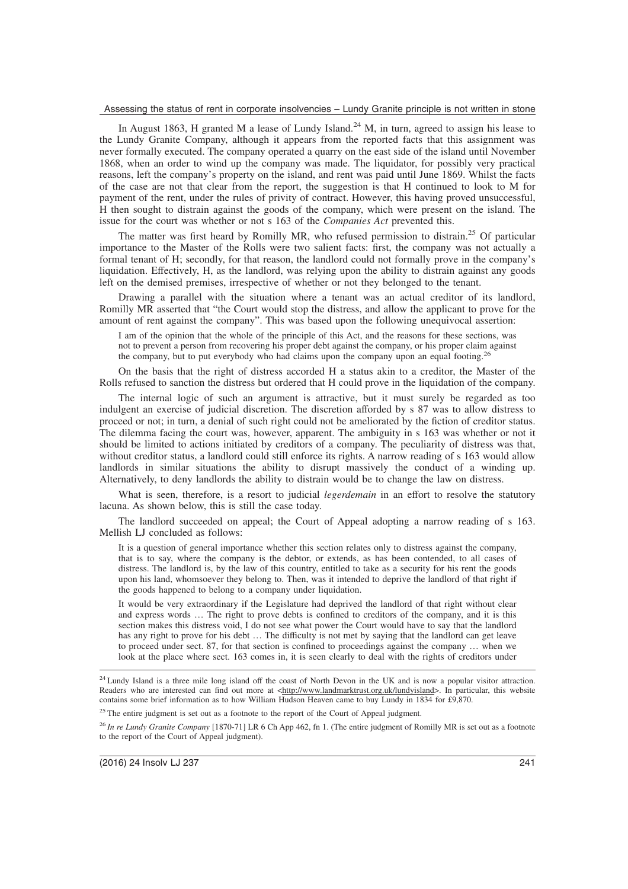In August 1863, H granted M a lease of Lundy Island.<sup>24</sup> M, in turn, agreed to assign his lease to the Lundy Granite Company, although it appears from the reported facts that this assignment was never formally executed. The company operated a quarry on the east side of the island until November 1868, when an order to wind up the company was made. The liquidator, for possibly very practical reasons, left the company's property on the island, and rent was paid until June 1869. Whilst the facts of the case are not that clear from the report, the suggestion is that H continued to look to M for payment of the rent, under the rules of privity of contract. However, this having proved unsuccessful, H then sought to distrain against the goods of the company, which were present on the island. The issue for the court was whether or not s 163 of the *Companies Act* prevented this.

The matter was first heard by Romilly MR, who refused permission to distrain.<sup>25</sup> Of particular importance to the Master of the Rolls were two salient facts: first, the company was not actually a formal tenant of H; secondly, for that reason, the landlord could not formally prove in the company's liquidation. Effectively, H, as the landlord, was relying upon the ability to distrain against any goods left on the demised premises, irrespective of whether or not they belonged to the tenant.

Drawing a parallel with the situation where a tenant was an actual creditor of its landlord, Romilly MR asserted that "the Court would stop the distress, and allow the applicant to prove for the amount of rent against the company". This was based upon the following unequivocal assertion:

I am of the opinion that the whole of the principle of this Act, and the reasons for these sections, was not to prevent a person from recovering his proper debt against the company, or his proper claim against the company, but to put everybody who had claims upon the company upon an equal footing.<sup>2</sup>

On the basis that the right of distress accorded H a status akin to a creditor, the Master of the Rolls refused to sanction the distress but ordered that H could prove in the liquidation of the company.

The internal logic of such an argument is attractive, but it must surely be regarded as too indulgent an exercise of judicial discretion. The discretion afforded by s 87 was to allow distress to proceed or not; in turn, a denial of such right could not be ameliorated by the fiction of creditor status. The dilemma facing the court was, however, apparent. The ambiguity in s 163 was whether or not it should be limited to actions initiated by creditors of a company. The peculiarity of distress was that, without creditor status, a landlord could still enforce its rights. A narrow reading of s 163 would allow landlords in similar situations the ability to disrupt massively the conduct of a winding up. Alternatively, to deny landlords the ability to distrain would be to change the law on distress.

What is seen, therefore, is a resort to judicial *legerdemain* in an effort to resolve the statutory lacuna. As shown below, this is still the case today.

The landlord succeeded on appeal; the Court of Appeal adopting a narrow reading of s 163. Mellish LJ concluded as follows:

It is a question of general importance whether this section relates only to distress against the company, that is to say, where the company is the debtor, or extends, as has been contended, to all cases of distress. The landlord is, by the law of this country, entitled to take as a security for his rent the goods upon his land, whomsoever they belong to. Then, was it intended to deprive the landlord of that right if the goods happened to belong to a company under liquidation.

It would be very extraordinary if the Legislature had deprived the landlord of that right without clear and express words … The right to prove debts is confined to creditors of the company, and it is this section makes this distress void, I do not see what power the Court would have to say that the landlord has any right to prove for his debt … The difficulty is not met by saying that the landlord can get leave to proceed under sect. 87, for that section is confined to proceedings against the company … when we look at the place where sect. 163 comes in, it is seen clearly to deal with the rights of creditors under

<sup>25</sup> The entire judgment is set out as a footnote to the report of the Court of Appeal judgment.

<sup>26</sup> *In re Lundy Granite Company* [1870-71] LR 6 Ch App 462, fn 1. (The entire judgment of Romilly MR is set out as a footnote to the report of the Court of Appeal judgment).

<sup>&</sup>lt;sup>24</sup> Lundy Island is a three mile long island off the coast of North Devon in the UK and is now a popular visitor attraction. Readers who are interested can find out more at <http://www.landmarktrust.org.uk/lundyisland>. In particular, this website contains some brief information as to how William Hudson Heaven came to buy Lundy in 1834 for £9,870.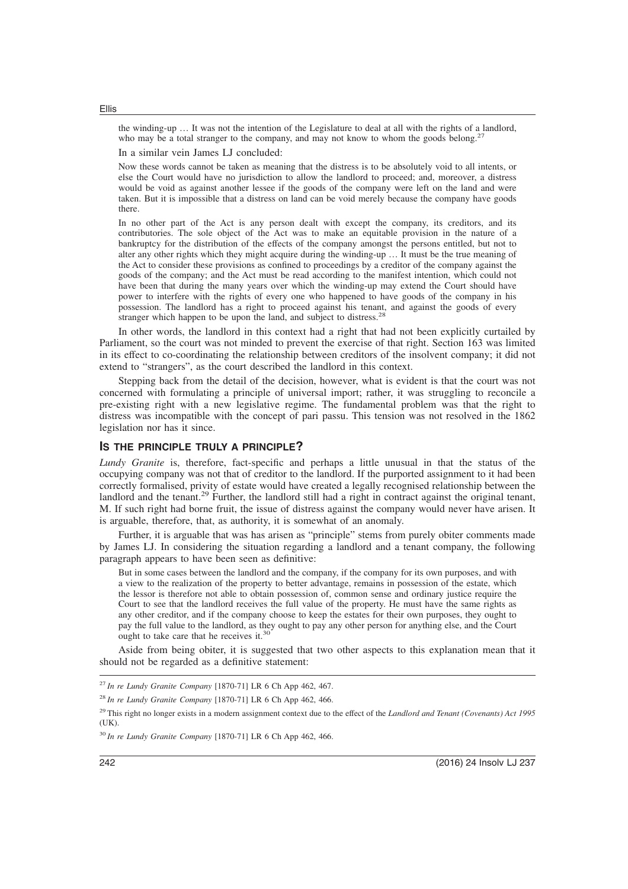the winding-up … It was not the intention of the Legislature to deal at all with the rights of a landlord, who may be a total stranger to the company, and may not know to whom the goods belong.<sup>27</sup>

In a similar vein James LJ concluded:

Now these words cannot be taken as meaning that the distress is to be absolutely void to all intents, or else the Court would have no jurisdiction to allow the landlord to proceed; and, moreover, a distress would be void as against another lessee if the goods of the company were left on the land and were taken. But it is impossible that a distress on land can be void merely because the company have goods there.

In no other part of the Act is any person dealt with except the company, its creditors, and its contributories. The sole object of the Act was to make an equitable provision in the nature of a bankruptcy for the distribution of the effects of the company amongst the persons entitled, but not to alter any other rights which they might acquire during the winding-up … It must be the true meaning of the Act to consider these provisions as confined to proceedings by a creditor of the company against the goods of the company; and the Act must be read according to the manifest intention, which could not have been that during the many years over which the winding-up may extend the Court should have power to interfere with the rights of every one who happened to have goods of the company in his possession. The landlord has a right to proceed against his tenant, and against the goods of every stranger which happen to be upon the land, and subject to distress.<sup>28</sup>

In other words, the landlord in this context had a right that had not been explicitly curtailed by Parliament, so the court was not minded to prevent the exercise of that right. Section 163 was limited in its effect to co-coordinating the relationship between creditors of the insolvent company; it did not extend to "strangers", as the court described the landlord in this context.

Stepping back from the detail of the decision, however, what is evident is that the court was not concerned with formulating a principle of universal import; rather, it was struggling to reconcile a pre-existing right with a new legislative regime. The fundamental problem was that the right to distress was incompatible with the concept of pari passu. This tension was not resolved in the 1862 legislation nor has it since.

## **IS THE PRINCIPLE TRULY A PRINCIPLE?**

*Lundy Granite* is, therefore, fact-specific and perhaps a little unusual in that the status of the occupying company was not that of creditor to the landlord. If the purported assignment to it had been correctly formalised, privity of estate would have created a legally recognised relationship between the landlord and the tenant.<sup>29</sup> Further, the landlord still had a right in contract against the original tenant, M. If such right had borne fruit, the issue of distress against the company would never have arisen. It is arguable, therefore, that, as authority, it is somewhat of an anomaly.

Further, it is arguable that was has arisen as "principle" stems from purely obiter comments made by James LJ. In considering the situation regarding a landlord and a tenant company, the following paragraph appears to have been seen as definitive:

But in some cases between the landlord and the company, if the company for its own purposes, and with a view to the realization of the property to better advantage, remains in possession of the estate, which the lessor is therefore not able to obtain possession of, common sense and ordinary justice require the Court to see that the landlord receives the full value of the property. He must have the same rights as any other creditor, and if the company choose to keep the estates for their own purposes, they ought to pay the full value to the landlord, as they ought to pay any other person for anything else, and the Court ought to take care that he receives it.<sup>30</sup>

Aside from being obiter, it is suggested that two other aspects to this explanation mean that it should not be regarded as a definitive statement:

<sup>27</sup> *In re Lundy Granite Company* [1870-71] LR 6 Ch App 462, 467.

<sup>28</sup> *In re Lundy Granite Company* [1870-71] LR 6 Ch App 462, 466.

<sup>29</sup> This right no longer exists in a modern assignment context due to the effect of the *Landlord and Tenant (Covenants) Act 1995* (UK).

<sup>30</sup> *In re Lundy Granite Company* [1870-71] LR 6 Ch App 462, 466.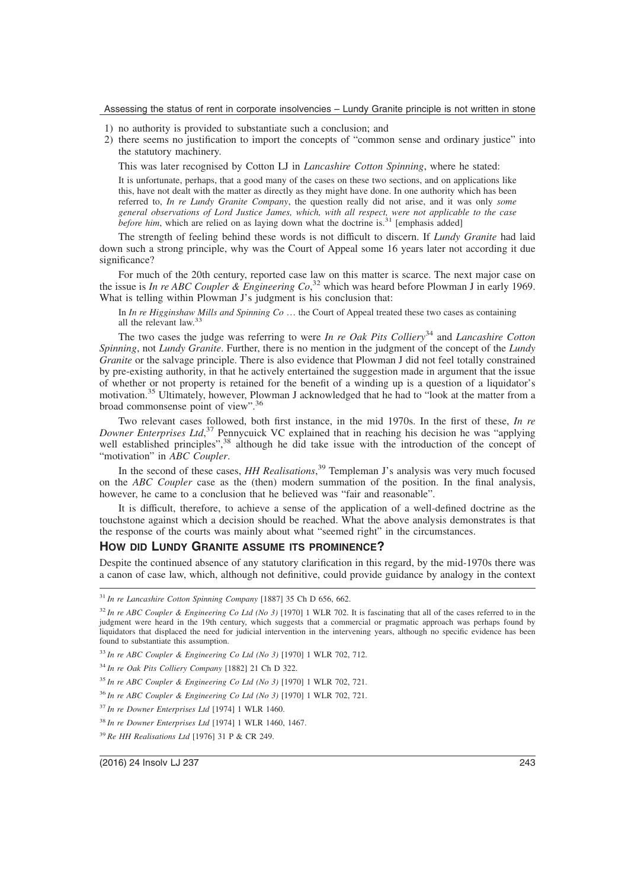- 1) no authority is provided to substantiate such a conclusion; and
- 2) there seems no justification to import the concepts of "common sense and ordinary justice" into the statutory machinery.

This was later recognised by Cotton LJ in *Lancashire Cotton Spinning*, where he stated:

It is unfortunate, perhaps, that a good many of the cases on these two sections, and on applications like this, have not dealt with the matter as directly as they might have done. In one authority which has been referred to, *In re Lundy Granite Company*, the question really did not arise, and it was only *some general observations of Lord Justice James, which, with all respect, were not applicable to the case before him*, which are relied on as laying down what the doctrine is.<sup>31</sup> [emphasis added]

The strength of feeling behind these words is not difficult to discern. If *Lundy Granite* had laid down such a strong principle, why was the Court of Appeal some 16 years later not according it due significance?

For much of the 20th century, reported case law on this matter is scarce. The next major case on the issue is *In re ABC Coupler & Engineering Co*, <sup>32</sup> which was heard before Plowman J in early 1969. What is telling within Plowman J's judgment is his conclusion that:

In *In re Higginshaw Mills and Spinning Co* … the Court of Appeal treated these two cases as containing all the relevant law.<sup>33</sup>

The two cases the judge was referring to were *In re Oak Pits Colliery*<sup>34</sup> and *Lancashire Cotton Spinning*, not *Lundy Granite*. Further, there is no mention in the judgment of the concept of the *Lundy Granite* or the salvage principle. There is also evidence that Plowman J did not feel totally constrained by pre-existing authority, in that he actively entertained the suggestion made in argument that the issue of whether or not property is retained for the benefit of a winding up is a question of a liquidator's motivation.<sup>35</sup> Ultimately, however, Plowman J acknowledged that he had to "look at the matter from a broad commonsense point of view".<sup>36</sup>

Two relevant cases followed, both first instance, in the mid 1970s. In the first of these, *In re Downer Enterprises Ltd*, <sup>37</sup> Pennycuick VC explained that in reaching his decision he was "applying well established principles",<sup>38</sup> although he did take issue with the introduction of the concept of "motivation" in *ABC Coupler*.

In the second of these cases, *HH Realisations*, <sup>39</sup> Templeman J's analysis was very much focused on the *ABC Coupler* case as the (then) modern summation of the position. In the final analysis, however, he came to a conclusion that he believed was "fair and reasonable".

It is difficult, therefore, to achieve a sense of the application of a well-defined doctrine as the touchstone against which a decision should be reached. What the above analysis demonstrates is that the response of the courts was mainly about what "seemed right" in the circumstances.

#### **HOW DID LUNDY GRANITE ASSUME ITS PROMINENCE?**

Despite the continued absence of any statutory clarification in this regard, by the mid-1970s there was a canon of case law, which, although not definitive, could provide guidance by analogy in the context

<sup>31</sup> *In re Lancashire Cotton Spinning Company* [1887] 35 Ch D 656, 662.

 $32$  *In re ABC Coupler & Engineering Co Ltd (No 3)* [1970] 1 WLR 702. It is fascinating that all of the cases referred to in the judgment were heard in the 19th century, which suggests that a commercial or pragmatic approach was perhaps found by liquidators that displaced the need for judicial intervention in the intervening years, although no specific evidence has been found to substantiate this assumption.

<sup>33</sup> *In re ABC Coupler & Engineering Co Ltd (No 3)* [1970] 1 WLR 702, 712.

<sup>34</sup> *In re Oak Pits Colliery Company* [1882] 21 Ch D 322.

<sup>35</sup> *In re ABC Coupler & Engineering Co Ltd (No 3)* [1970] 1 WLR 702, 721.

<sup>36</sup> *In re ABC Coupler & Engineering Co Ltd (No 3)* [1970] 1 WLR 702, 721.

<sup>37</sup> *In re Downer Enterprises Ltd* [1974] 1 WLR 1460.

<sup>38</sup> *In re Downer Enterprises Ltd* [1974] 1 WLR 1460, 1467.

<sup>39</sup> *Re HH Realisations Ltd* [1976] 31 P & CR 249.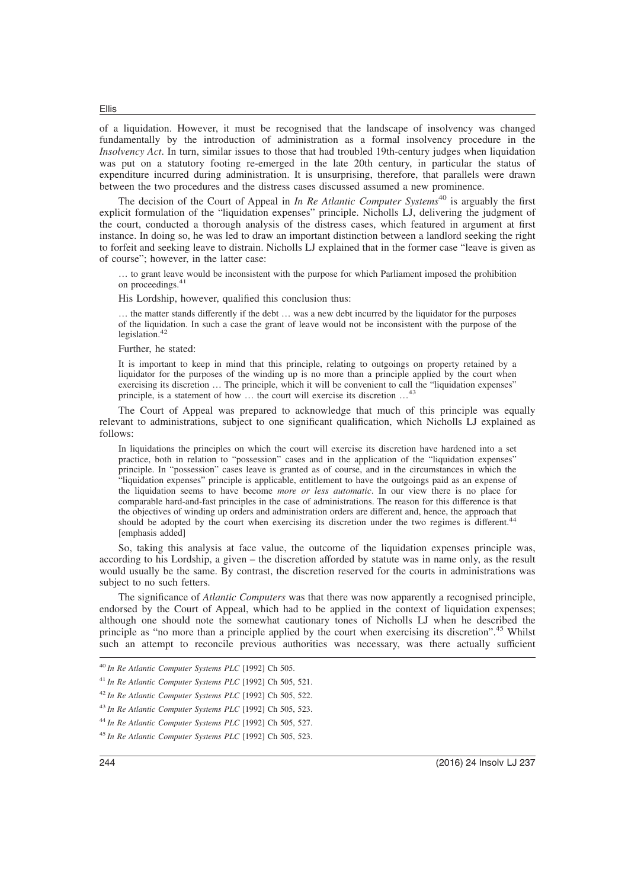of a liquidation. However, it must be recognised that the landscape of insolvency was changed fundamentally by the introduction of administration as a formal insolvency procedure in the *Insolvency Act*. In turn, similar issues to those that had troubled 19th-century judges when liquidation was put on a statutory footing re-emerged in the late 20th century, in particular the status of expenditure incurred during administration. It is unsurprising, therefore, that parallels were drawn between the two procedures and the distress cases discussed assumed a new prominence.

The decision of the Court of Appeal in *In Re Atlantic Computer Systems*<sup>40</sup> is arguably the first explicit formulation of the "liquidation expenses" principle. Nicholls LJ, delivering the judgment of the court, conducted a thorough analysis of the distress cases, which featured in argument at first instance. In doing so, he was led to draw an important distinction between a landlord seeking the right to forfeit and seeking leave to distrain. Nicholls LJ explained that in the former case "leave is given as of course"; however, in the latter case:

… to grant leave would be inconsistent with the purpose for which Parliament imposed the prohibition on proceedings.<sup>4</sup>

His Lordship, however, qualified this conclusion thus:

… the matter stands differently if the debt … was a new debt incurred by the liquidator for the purposes of the liquidation. In such a case the grant of leave would not be inconsistent with the purpose of the legislation.<sup>42</sup>

Further, he stated:

It is important to keep in mind that this principle, relating to outgoings on property retained by a liquidator for the purposes of the winding up is no more than a principle applied by the court when exercising its discretion … The principle, which it will be convenient to call the "liquidation expenses" principle, is a statement of how … the court will exercise its discretion …<sup>43</sup>

The Court of Appeal was prepared to acknowledge that much of this principle was equally relevant to administrations, subject to one significant qualification, which Nicholls LJ explained as follows:

In liquidations the principles on which the court will exercise its discretion have hardened into a set practice, both in relation to "possession" cases and in the application of the "liquidation expenses" principle. In "possession" cases leave is granted as of course, and in the circumstances in which the "liquidation expenses" principle is applicable, entitlement to have the outgoings paid as an expense of the liquidation seems to have become *more or less automatic*. In our view there is no place for comparable hard-and-fast principles in the case of administrations. The reason for this difference is that the objectives of winding up orders and administration orders are different and, hence, the approach that should be adopted by the court when exercising its discretion under the two regimes is different.<sup>4</sup> [emphasis added]

So, taking this analysis at face value, the outcome of the liquidation expenses principle was, according to his Lordship, a given – the discretion afforded by statute was in name only, as the result would usually be the same. By contrast, the discretion reserved for the courts in administrations was subject to no such fetters.

The significance of *Atlantic Computers* was that there was now apparently a recognised principle, endorsed by the Court of Appeal, which had to be applied in the context of liquidation expenses; although one should note the somewhat cautionary tones of Nicholls LJ when he described the principle as "no more than a principle applied by the court when exercising its discretion".<sup>45</sup> Whilst such an attempt to reconcile previous authorities was necessary, was there actually sufficient

 *In Re Atlantic Computer Systems PLC* [1992] Ch 505. *In Re Atlantic Computer Systems PLC* [1992] Ch 505, 521. *In Re Atlantic Computer Systems PLC* [1992] Ch 505, 522. *In Re Atlantic Computer Systems PLC* [1992] Ch 505, 523. *In Re Atlantic Computer Systems PLC* [1992] Ch 505, 527.

<sup>45</sup> *In Re Atlantic Computer Systems PLC* [1992] Ch 505, 523.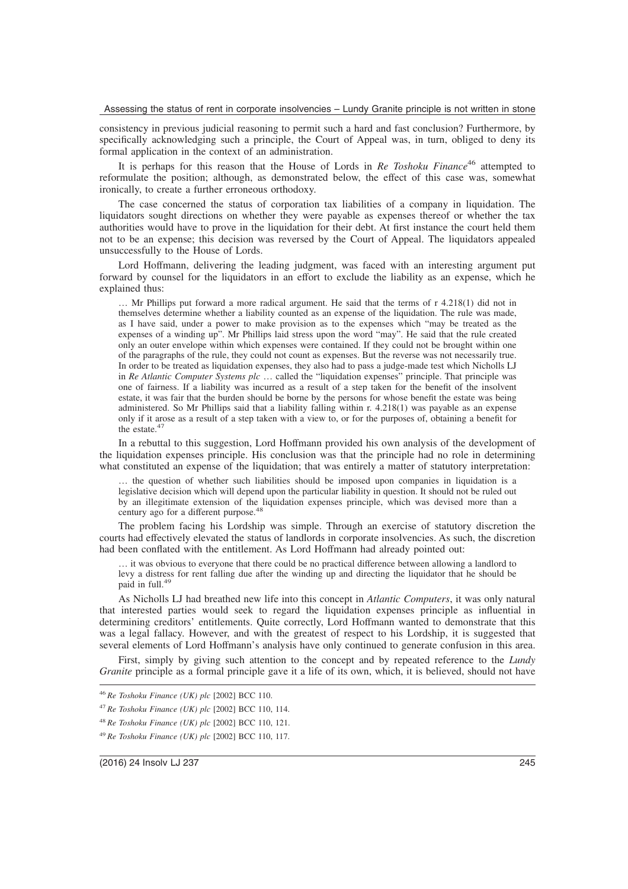consistency in previous judicial reasoning to permit such a hard and fast conclusion? Furthermore, by specifically acknowledging such a principle, the Court of Appeal was, in turn, obliged to deny its formal application in the context of an administration.

It is perhaps for this reason that the House of Lords in *Re Toshoku Finance*<sup>46</sup> attempted to reformulate the position; although, as demonstrated below, the effect of this case was, somewhat ironically, to create a further erroneous orthodoxy.

The case concerned the status of corporation tax liabilities of a company in liquidation. The liquidators sought directions on whether they were payable as expenses thereof or whether the tax authorities would have to prove in the liquidation for their debt. At first instance the court held them not to be an expense; this decision was reversed by the Court of Appeal. The liquidators appealed unsuccessfully to the House of Lords.

Lord Hoffmann, delivering the leading judgment, was faced with an interesting argument put forward by counsel for the liquidators in an effort to exclude the liability as an expense, which he explained thus:

… Mr Phillips put forward a more radical argument. He said that the terms of r 4.218(1) did not in themselves determine whether a liability counted as an expense of the liquidation. The rule was made, as I have said, under a power to make provision as to the expenses which "may be treated as the expenses of a winding up". Mr Phillips laid stress upon the word "may". He said that the rule created only an outer envelope within which expenses were contained. If they could not be brought within one of the paragraphs of the rule, they could not count as expenses. But the reverse was not necessarily true. In order to be treated as liquidation expenses, they also had to pass a judge-made test which Nicholls LJ in *Re Atlantic Computer Systems plc* … called the "liquidation expenses" principle. That principle was one of fairness. If a liability was incurred as a result of a step taken for the benefit of the insolvent estate, it was fair that the burden should be borne by the persons for whose benefit the estate was being administered. So Mr Phillips said that a liability falling within r. 4.218(1) was payable as an expense only if it arose as a result of a step taken with a view to, or for the purposes of, obtaining a benefit for the estate.<sup>47</sup>

In a rebuttal to this suggestion, Lord Hoffmann provided his own analysis of the development of the liquidation expenses principle. His conclusion was that the principle had no role in determining what constituted an expense of the liquidation; that was entirely a matter of statutory interpretation:

… the question of whether such liabilities should be imposed upon companies in liquidation is a legislative decision which will depend upon the particular liability in question. It should not be ruled out by an illegitimate extension of the liquidation expenses principle, which was devised more than a century ago for a different purpose.<sup>48</sup>

The problem facing his Lordship was simple. Through an exercise of statutory discretion the courts had effectively elevated the status of landlords in corporate insolvencies. As such, the discretion had been conflated with the entitlement. As Lord Hoffmann had already pointed out:

… it was obvious to everyone that there could be no practical difference between allowing a landlord to levy a distress for rent falling due after the winding up and directing the liquidator that he should be paid in full.<sup>49</sup>

As Nicholls LJ had breathed new life into this concept in *Atlantic Computers*, it was only natural that interested parties would seek to regard the liquidation expenses principle as influential in determining creditors' entitlements. Quite correctly, Lord Hoffmann wanted to demonstrate that this was a legal fallacy. However, and with the greatest of respect to his Lordship, it is suggested that several elements of Lord Hoffmann's analysis have only continued to generate confusion in this area.

First, simply by giving such attention to the concept and by repeated reference to the *Lundy Granite* principle as a formal principle gave it a life of its own, which, it is believed, should not have

<sup>46</sup> *Re Toshoku Finance (UK) plc* [2002] BCC 110.

<sup>47</sup> *Re Toshoku Finance (UK) plc* [2002] BCC 110, 114.

<sup>48</sup> *Re Toshoku Finance (UK) plc* [2002] BCC 110, 121.

<sup>49</sup> *Re Toshoku Finance (UK) plc* [2002] BCC 110, 117.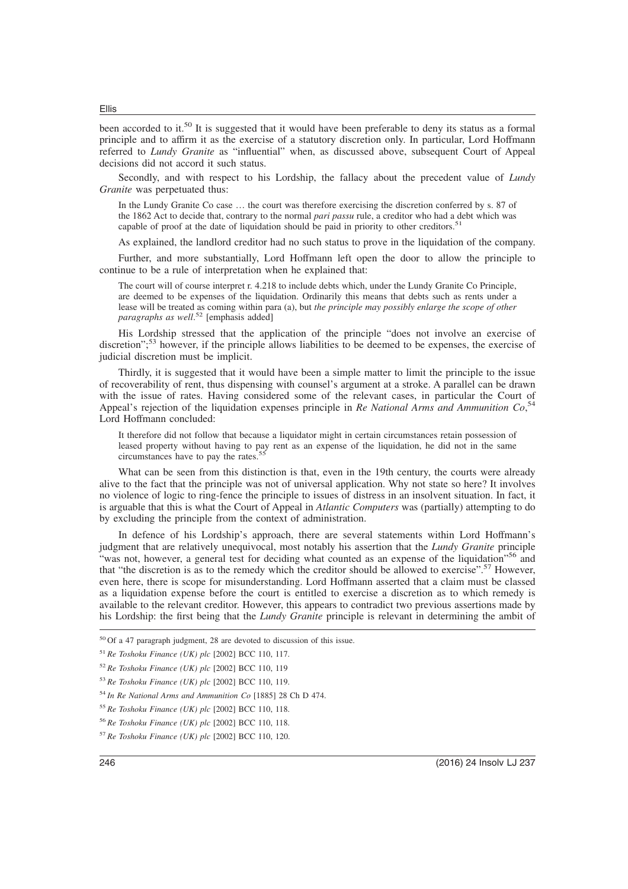been accorded to it.<sup>50</sup> It is suggested that it would have been preferable to deny its status as a formal principle and to affirm it as the exercise of a statutory discretion only. In particular, Lord Hoffmann referred to *Lundy Granite* as "influential" when, as discussed above, subsequent Court of Appeal decisions did not accord it such status.

Secondly, and with respect to his Lordship, the fallacy about the precedent value of *Lundy Granite* was perpetuated thus:

In the Lundy Granite Co case … the court was therefore exercising the discretion conferred by s. 87 of the 1862 Act to decide that, contrary to the normal *pari passu* rule, a creditor who had a debt which was capable of proof at the date of liquidation should be paid in priority to other creditors.<sup>5</sup>

As explained, the landlord creditor had no such status to prove in the liquidation of the company.

Further, and more substantially, Lord Hoffmann left open the door to allow the principle to continue to be a rule of interpretation when he explained that:

The court will of course interpret r. 4.218 to include debts which, under the Lundy Granite Co Principle, are deemed to be expenses of the liquidation. Ordinarily this means that debts such as rents under a lease will be treated as coming within para (a), but *the principle may possibly enlarge the scope of other paragraphs as well*. <sup>52</sup> [emphasis added]

His Lordship stressed that the application of the principle "does not involve an exercise of discretion";<sup>53</sup> however, if the principle allows liabilities to be deemed to be expenses, the exercise of judicial discretion must be implicit.

Thirdly, it is suggested that it would have been a simple matter to limit the principle to the issue of recoverability of rent, thus dispensing with counsel's argument at a stroke. A parallel can be drawn with the issue of rates. Having considered some of the relevant cases, in particular the Court of Appeal's rejection of the liquidation expenses principle in *Re National Arms and Ammunition Co*, 54 Lord Hoffmann concluded:

It therefore did not follow that because a liquidator might in certain circumstances retain possession of leased property without having to pay rent as an expense of the liquidation, he did not in the same circumstances have to pay the rates.<sup>5</sup>

What can be seen from this distinction is that, even in the 19th century, the courts were already alive to the fact that the principle was not of universal application. Why not state so here? It involves no violence of logic to ring-fence the principle to issues of distress in an insolvent situation. In fact, it is arguable that this is what the Court of Appeal in *Atlantic Computers* was (partially) attempting to do by excluding the principle from the context of administration.

In defence of his Lordship's approach, there are several statements within Lord Hoffmann's judgment that are relatively unequivocal, most notably his assertion that the *Lundy Granite* principle "was not, however, a general test for deciding what counted as an expense of the liquidation"<sup>56</sup> and that "the discretion is as to the remedy which the creditor should be allowed to exercise".<sup>57</sup> However, even here, there is scope for misunderstanding. Lord Hoffmann asserted that a claim must be classed as a liquidation expense before the court is entitled to exercise a discretion as to which remedy is available to the relevant creditor. However, this appears to contradict two previous assertions made by his Lordship: the first being that the *Lundy Granite* principle is relevant in determining the ambit of

<sup>50</sup> Of a 47 paragraph judgment, 28 are devoted to discussion of this issue.

<sup>51</sup> *Re Toshoku Finance (UK) plc* [2002] BCC 110, 117.

<sup>52</sup> *Re Toshoku Finance (UK) plc* [2002] BCC 110, 119

<sup>53</sup> *Re Toshoku Finance (UK) plc* [2002] BCC 110, 119.

<sup>54</sup> *In Re National Arms and Ammunition Co* [1885] 28 Ch D 474.

<sup>55</sup> *Re Toshoku Finance (UK) plc* [2002] BCC 110, 118.

<sup>56</sup> *Re Toshoku Finance (UK) plc* [2002] BCC 110, 118.

<sup>57</sup> *Re Toshoku Finance (UK) plc* [2002] BCC 110, 120.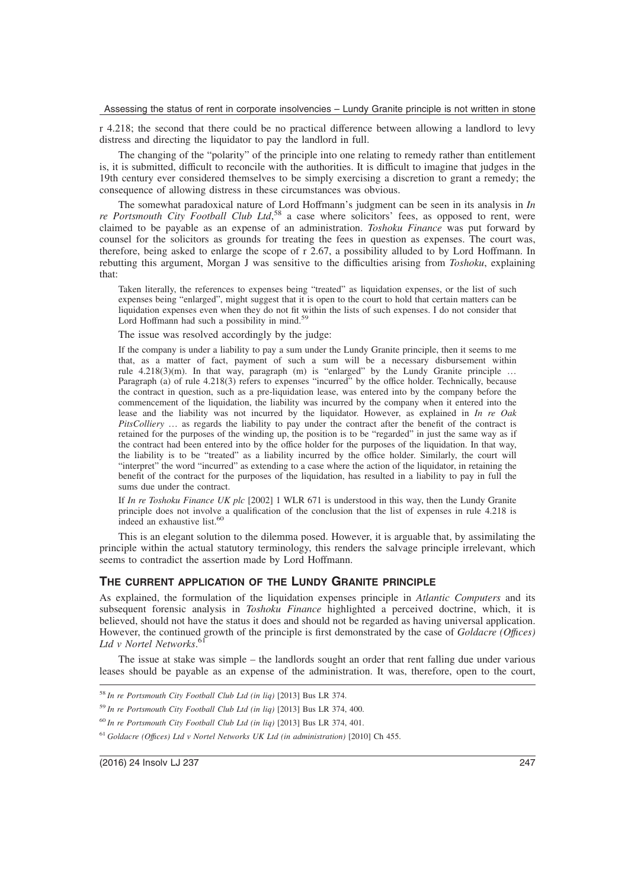r 4.218; the second that there could be no practical difference between allowing a landlord to levy distress and directing the liquidator to pay the landlord in full.

The changing of the "polarity" of the principle into one relating to remedy rather than entitlement is, it is submitted, difficult to reconcile with the authorities. It is difficult to imagine that judges in the 19th century ever considered themselves to be simply exercising a discretion to grant a remedy; the consequence of allowing distress in these circumstances was obvious.

The somewhat paradoxical nature of Lord Hoffmann's judgment can be seen in its analysis in *In* re Portsmouth City Football Club Ltd,<sup>58</sup> a case where solicitors' fees, as opposed to rent, were claimed to be payable as an expense of an administration. *Toshoku Finance* was put forward by counsel for the solicitors as grounds for treating the fees in question as expenses. The court was, therefore, being asked to enlarge the scope of r 2.67, a possibility alluded to by Lord Hoffmann. In rebutting this argument, Morgan J was sensitive to the difficulties arising from *Toshoku*, explaining that:

Taken literally, the references to expenses being "treated" as liquidation expenses, or the list of such expenses being "enlarged", might suggest that it is open to the court to hold that certain matters can be liquidation expenses even when they do not fit within the lists of such expenses. I do not consider that Lord Hoffmann had such a possibility in mind.<sup>59</sup>

The issue was resolved accordingly by the judge:

If the company is under a liability to pay a sum under the Lundy Granite principle, then it seems to me that, as a matter of fact, payment of such a sum will be a necessary disbursement within rule 4.218(3)(m). In that way, paragraph (m) is "enlarged" by the Lundy Granite principle ... Paragraph (a) of rule 4.218(3) refers to expenses "incurred" by the office holder. Technically, because the contract in question, such as a pre-liquidation lease, was entered into by the company before the commencement of the liquidation, the liability was incurred by the company when it entered into the lease and the liability was not incurred by the liquidator. However, as explained in *In re Oak PitsColliery* … as regards the liability to pay under the contract after the benefit of the contract is retained for the purposes of the winding up, the position is to be "regarded" in just the same way as if the contract had been entered into by the office holder for the purposes of the liquidation. In that way, the liability is to be "treated" as a liability incurred by the office holder. Similarly, the court will "interpret" the word "incurred" as extending to a case where the action of the liquidator, in retaining the benefit of the contract for the purposes of the liquidation, has resulted in a liability to pay in full the sums due under the contract.

If *In re Toshoku Finance UK plc* [2002] 1 WLR 671 is understood in this way, then the Lundy Granite principle does not involve a qualification of the conclusion that the list of expenses in rule 4.218 is indeed an exhaustive list.<sup>6</sup>

This is an elegant solution to the dilemma posed. However, it is arguable that, by assimilating the principle within the actual statutory terminology, this renders the salvage principle irrelevant, which seems to contradict the assertion made by Lord Hoffmann.

## **THE CURRENT APPLICATION OF THE LUNDY GRANITE PRINCIPLE**

As explained, the formulation of the liquidation expenses principle in *Atlantic Computers* and its subsequent forensic analysis in *Toshoku Finance* highlighted a perceived doctrine, which, it is believed, should not have the status it does and should not be regarded as having universal application. However, the continued growth of the principle is first demonstrated by the case of *Goldacre (Offıces) Ltd v Nortel Networks*. 61

The issue at stake was simple – the landlords sought an order that rent falling due under various leases should be payable as an expense of the administration. It was, therefore, open to the court,

<sup>60</sup> *In re Portsmouth City Football Club Ltd (in liq)* [2013] Bus LR 374, 401.

<sup>58</sup> *In re Portsmouth City Football Club Ltd (in liq)* [2013] Bus LR 374.

<sup>59</sup> *In re Portsmouth City Football Club Ltd (in liq)* [2013] Bus LR 374, 400.

<sup>61</sup> *Goldacre (Offıces) Ltd v Nortel Networks UK Ltd (in administration)* [2010] Ch 455.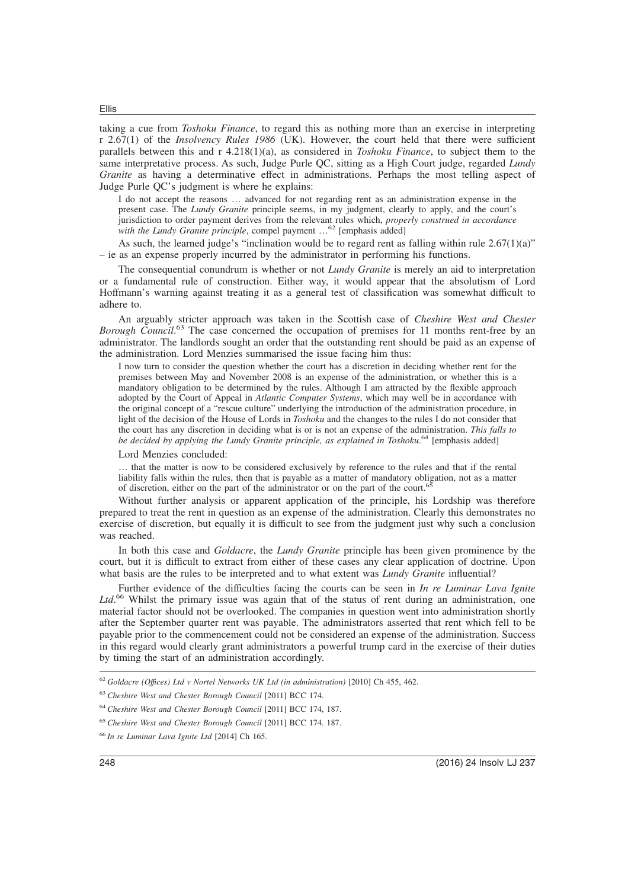taking a cue from *Toshoku Finance*, to regard this as nothing more than an exercise in interpreting r 2.67(1) of the *Insolvency Rules 1986* (UK). However, the court held that there were sufficient parallels between this and r 4.218(1)(a), as considered in *Toshoku Finance*, to subject them to the same interpretative process. As such, Judge Purle QC, sitting as a High Court judge, regarded *Lundy Granite* as having a determinative effect in administrations. Perhaps the most telling aspect of Judge Purle QC's judgment is where he explains:

I do not accept the reasons … advanced for not regarding rent as an administration expense in the present case. The *Lundy Granite* principle seems, in my judgment, clearly to apply, and the court's jurisdiction to order payment derives from the relevant rules which, *properly construed in accordance with the Lundy Granite principle*, compel payment …<sup>62</sup> [emphasis added]

As such, the learned judge's "inclination would be to regard rent as falling within rule  $2.67(1)(a)$ " – ie as an expense properly incurred by the administrator in performing his functions.

The consequential conundrum is whether or not *Lundy Granite* is merely an aid to interpretation or a fundamental rule of construction. Either way, it would appear that the absolutism of Lord Hoffmann's warning against treating it as a general test of classification was somewhat difficult to adhere to.

An arguably stricter approach was taken in the Scottish case of *Cheshire West and Chester* Borough Council.<sup>63</sup> The case concerned the occupation of premises for 11 months rent-free by an administrator. The landlords sought an order that the outstanding rent should be paid as an expense of the administration. Lord Menzies summarised the issue facing him thus:

I now turn to consider the question whether the court has a discretion in deciding whether rent for the premises between May and November 2008 is an expense of the administration, or whether this is a mandatory obligation to be determined by the rules. Although I am attracted by the flexible approach adopted by the Court of Appeal in *Atlantic Computer Systems*, which may well be in accordance with the original concept of a "rescue culture" underlying the introduction of the administration procedure, in light of the decision of the House of Lords in *Toshoku* and the changes to the rules I do not consider that the court has any discretion in deciding what is or is not an expense of the administration. *This falls to* be decided by applying the Lundy Granite principle, as explained in Toshoku.<sup>64</sup> [emphasis added]

Lord Menzies concluded:

… that the matter is now to be considered exclusively by reference to the rules and that if the rental liability falls within the rules, then that is payable as a matter of mandatory obligation, not as a matter of discretion, either on the part of the administrator or on the part of the court.<sup>65</sup>

Without further analysis or apparent application of the principle, his Lordship was therefore prepared to treat the rent in question as an expense of the administration. Clearly this demonstrates no exercise of discretion, but equally it is difficult to see from the judgment just why such a conclusion was reached.

In both this case and *Goldacre*, the *Lundy Granite* principle has been given prominence by the court, but it is difficult to extract from either of these cases any clear application of doctrine. Upon what basis are the rules to be interpreted and to what extent was *Lundy Granite* influential?

Further evidence of the difficulties facing the courts can be seen in *In re Luminar Lava Ignite* Ltd.<sup>66</sup> Whilst the primary issue was again that of the status of rent during an administration, one material factor should not be overlooked. The companies in question went into administration shortly after the September quarter rent was payable. The administrators asserted that rent which fell to be payable prior to the commencement could not be considered an expense of the administration. Success in this regard would clearly grant administrators a powerful trump card in the exercise of their duties by timing the start of an administration accordingly.

<sup>62</sup> *Goldacre (Offıces) Ltd v Nortel Networks UK Ltd (in administration)* [2010] Ch 455, 462.

<sup>63</sup> *Cheshire West and Chester Borough Council* [2011] BCC 174.

<sup>64</sup> *Cheshire West and Chester Borough Council* [2011] BCC 174, 187.

<sup>65</sup> *Cheshire West and Chester Borough Council* [2011] BCC 174. 187.

<sup>66</sup> *In re Luminar Lava Ignite Ltd* [2014] Ch 165.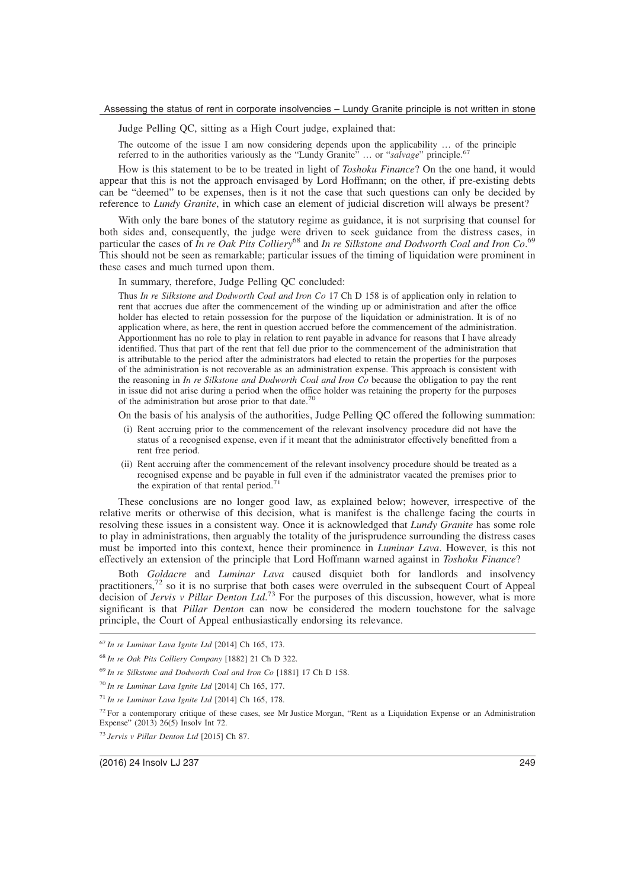Judge Pelling QC, sitting as a High Court judge, explained that:

The outcome of the issue I am now considering depends upon the applicability … of the principle referred to in the authorities variously as the "Lundy Granite" ... or "salvage" principle.<sup>67</sup>

How is this statement to be to be treated in light of *Toshoku Finance*? On the one hand, it would appear that this is not the approach envisaged by Lord Hoffmann; on the other, if pre-existing debts can be "deemed" to be expenses, then is it not the case that such questions can only be decided by reference to *Lundy Granite*, in which case an element of judicial discretion will always be present?

With only the bare bones of the statutory regime as guidance, it is not surprising that counsel for both sides and, consequently, the judge were driven to seek guidance from the distress cases, in particular the cases of *In re Oak Pits Colliery*<sup>68</sup> and *In re Silkstone and Dodworth Coal and Iron Co*. 69 This should not be seen as remarkable; particular issues of the timing of liquidation were prominent in these cases and much turned upon them.

In summary, therefore, Judge Pelling QC concluded:

Thus *In re Silkstone and Dodworth Coal and Iron Co* 17 Ch D 158 is of application only in relation to rent that accrues due after the commencement of the winding up or administration and after the office holder has elected to retain possession for the purpose of the liquidation or administration. It is of no application where, as here, the rent in question accrued before the commencement of the administration. Apportionment has no role to play in relation to rent payable in advance for reasons that I have already identified. Thus that part of the rent that fell due prior to the commencement of the administration that is attributable to the period after the administrators had elected to retain the properties for the purposes of the administration is not recoverable as an administration expense. This approach is consistent with the reasoning in *In re Silkstone and Dodworth Coal and Iron Co* because the obligation to pay the rent in issue did not arise during a period when the office holder was retaining the property for the purposes of the administration but arose prior to that date.<sup>70</sup>

On the basis of his analysis of the authorities, Judge Pelling QC offered the following summation:

- (i) Rent accruing prior to the commencement of the relevant insolvency procedure did not have the status of a recognised expense, even if it meant that the administrator effectively benefitted from a rent free period.
- (ii) Rent accruing after the commencement of the relevant insolvency procedure should be treated as a recognised expense and be payable in full even if the administrator vacated the premises prior to the expiration of that rental period.<sup>7</sup>

These conclusions are no longer good law, as explained below; however, irrespective of the relative merits or otherwise of this decision, what is manifest is the challenge facing the courts in resolving these issues in a consistent way. Once it is acknowledged that *Lundy Granite* has some role to play in administrations, then arguably the totality of the jurisprudence surrounding the distress cases must be imported into this context, hence their prominence in *Luminar Lava*. However, is this not effectively an extension of the principle that Lord Hoffmann warned against in *Toshoku Finance*?

Both *Goldacre* and *Luminar Lava* caused disquiet both for landlords and insolvency practitioners,<sup>72</sup> so it is no surprise that both cases were overruled in the subsequent Court of Appeal decision of *Jervis v Pillar Denton Ltd*. <sup>73</sup> For the purposes of this discussion, however, what is more significant is that *Pillar Denton* can now be considered the modern touchstone for the salvage principle, the Court of Appeal enthusiastically endorsing its relevance.

<sup>67</sup> *In re Luminar Lava Ignite Ltd* [2014] Ch 165, 173.

<sup>68</sup> *In re Oak Pits Colliery Company* [1882] 21 Ch D 322.

<sup>69</sup> *In re Silkstone and Dodworth Coal and Iron Co* [1881] 17 Ch D 158.

<sup>70</sup> *In re Luminar Lava Ignite Ltd* [2014] Ch 165, 177.

<sup>71</sup> *In re Luminar Lava Ignite Ltd* [2014] Ch 165, 178.

<sup>&</sup>lt;sup>72</sup> For a contemporary critique of these cases, see Mr Justice Morgan, "Rent as a Liquidation Expense or an Administration Expense" (2013) 26(5) Insolv Int 72.

<sup>73</sup> *Jervis v Pillar Denton Ltd* [2015] Ch 87.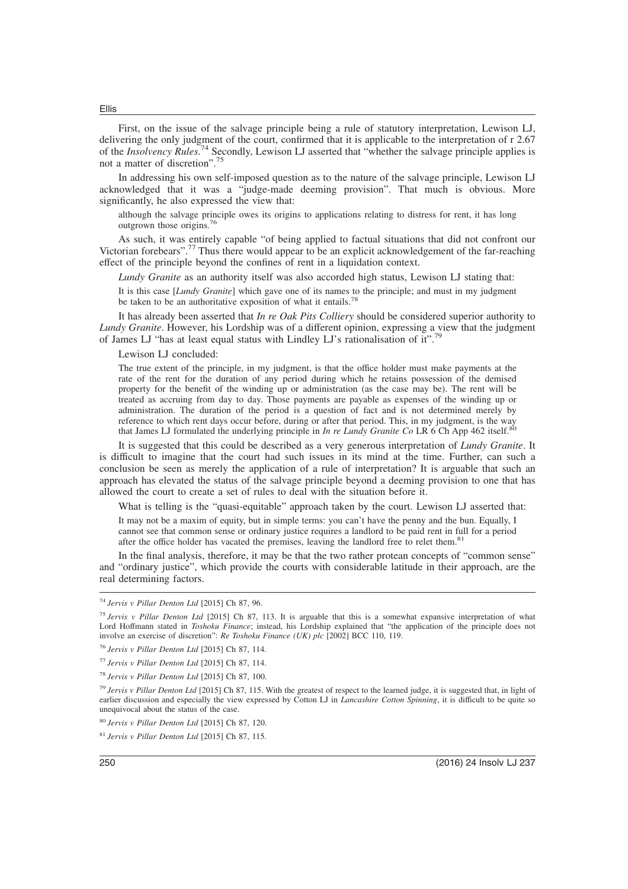First, on the issue of the salvage principle being a rule of statutory interpretation, Lewison LJ, delivering the only judgment of the court, confirmed that it is applicable to the interpretation of r 2.67 of the *Insolvency Rules*. <sup>74</sup> Secondly, Lewison LJ asserted that "whether the salvage principle applies is not a matter of discretion".<sup>75</sup>

In addressing his own self-imposed question as to the nature of the salvage principle, Lewison LJ acknowledged that it was a "judge-made deeming provision". That much is obvious. More significantly, he also expressed the view that:

although the salvage principle owes its origins to applications relating to distress for rent, it has long outgrown those origins.<sup>76</sup>

As such, it was entirely capable "of being applied to factual situations that did not confront our Victorian forebears".<sup>77</sup> Thus there would appear to be an explicit acknowledgement of the far-reaching effect of the principle beyond the confines of rent in a liquidation context.

*Lundy Granite* as an authority itself was also accorded high status, Lewison LJ stating that:

It is this case [*Lundy Granite*] which gave one of its names to the principle; and must in my judgment be taken to be an authoritative exposition of what it entails.<sup>7</sup>

It has already been asserted that *In re Oak Pits Colliery* should be considered superior authority to *Lundy Granite*. However, his Lordship was of a different opinion, expressing a view that the judgment of James LJ "has at least equal status with Lindley LJ's rationalisation of it".<sup>79</sup>

Lewison LJ concluded:

The true extent of the principle, in my judgment, is that the office holder must make payments at the rate of the rent for the duration of any period during which he retains possession of the demised property for the benefit of the winding up or administration (as the case may be). The rent will be treated as accruing from day to day. Those payments are payable as expenses of the winding up or administration. The duration of the period is a question of fact and is not determined merely by reference to which rent days occur before, during or after that period. This, in my judgment, is the way that James LJ formulated the underlying principle in *In re Lundy Granite Co* LR 6 Ch App 462 itself.<sup>80</sup>

It is suggested that this could be described as a very generous interpretation of *Lundy Granite*. It is difficult to imagine that the court had such issues in its mind at the time. Further, can such a conclusion be seen as merely the application of a rule of interpretation? It is arguable that such an approach has elevated the status of the salvage principle beyond a deeming provision to one that has allowed the court to create a set of rules to deal with the situation before it.

What is telling is the "quasi-equitable" approach taken by the court. Lewison LJ asserted that:

It may not be a maxim of equity, but in simple terms: you can't have the penny and the bun. Equally, I cannot see that common sense or ordinary justice requires a landlord to be paid rent in full for a period after the office holder has vacated the premises, leaving the landlord free to relet them.<sup>81</sup>

In the final analysis, therefore, it may be that the two rather protean concepts of "common sense" and "ordinary justice", which provide the courts with considerable latitude in their approach, are the real determining factors.

<sup>75</sup> *Jervis v Pillar Denton Ltd* [2015] Ch 87, 113. It is arguable that this is a somewhat expansive interpretation of what Lord Hoffmann stated in *Toshoku Finance*; instead, his Lordship explained that "the application of the principle does not involve an exercise of discretion": *Re Toshoku Finance (UK) plc* [2002] BCC 110, 119.

<sup>76</sup> *Jervis v Pillar Denton Ltd* [2015] Ch 87, 114.

<sup>77</sup> *Jervis v Pillar Denton Ltd* [2015] Ch 87, 114.

<sup>78</sup> *Jervis v Pillar Denton Ltd* [2015] Ch 87, 100.

<sup>79</sup> *Jervis v Pillar Denton Ltd* [2015] Ch 87, 115. With the greatest of respect to the learned judge, it is suggested that, in light of earlier discussion and especially the view expressed by Cotton LJ in *Lancashire Cotton Spinning*, it is difficult to be quite so unequivocal about the status of the case.

<sup>80</sup> *Jervis v Pillar Denton Ltd* [2015] Ch 87, 120.

<sup>74</sup> *Jervis v Pillar Denton Ltd* [2015] Ch 87, 96.

<sup>81</sup> *Jervis v Pillar Denton Ltd* [2015] Ch 87, 115.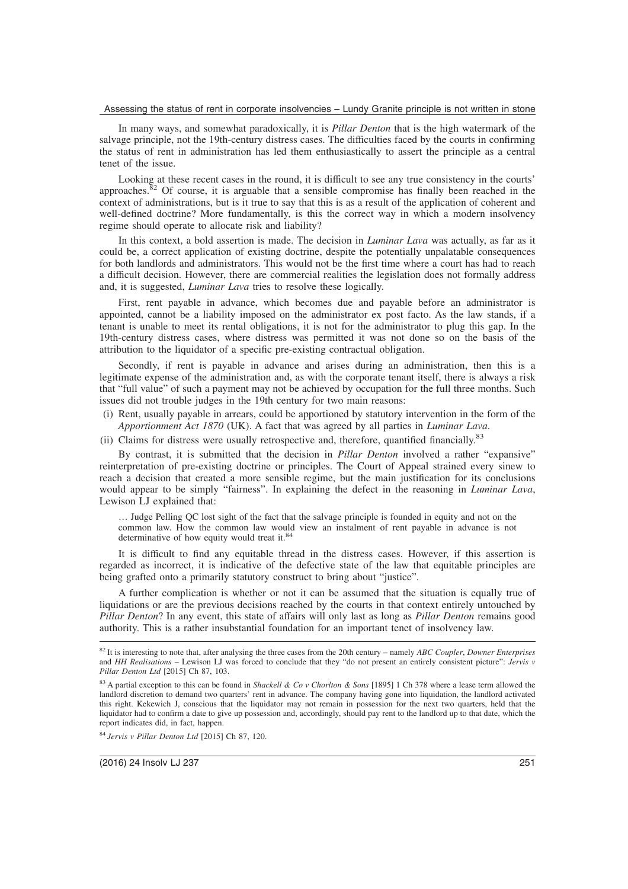In many ways, and somewhat paradoxically, it is *Pillar Denton* that is the high watermark of the salvage principle, not the 19th-century distress cases. The difficulties faced by the courts in confirming the status of rent in administration has led them enthusiastically to assert the principle as a central tenet of the issue.

Looking at these recent cases in the round, it is difficult to see any true consistency in the courts' approaches.<sup>82</sup> Of course, it is arguable that a sensible compromise has finally been reached in the context of administrations, but is it true to say that this is as a result of the application of coherent and well-defined doctrine? More fundamentally, is this the correct way in which a modern insolvency regime should operate to allocate risk and liability?

In this context, a bold assertion is made. The decision in *Luminar Lava* was actually, as far as it could be, a correct application of existing doctrine, despite the potentially unpalatable consequences for both landlords and administrators. This would not be the first time where a court has had to reach a difficult decision. However, there are commercial realities the legislation does not formally address and, it is suggested, *Luminar Lava* tries to resolve these logically.

First, rent payable in advance, which becomes due and payable before an administrator is appointed, cannot be a liability imposed on the administrator ex post facto. As the law stands, if a tenant is unable to meet its rental obligations, it is not for the administrator to plug this gap. In the 19th-century distress cases, where distress was permitted it was not done so on the basis of the attribution to the liquidator of a specific pre-existing contractual obligation.

Secondly, if rent is payable in advance and arises during an administration, then this is a legitimate expense of the administration and, as with the corporate tenant itself, there is always a risk that "full value" of such a payment may not be achieved by occupation for the full three months. Such issues did not trouble judges in the 19th century for two main reasons:

- (i) Rent, usually payable in arrears, could be apportioned by statutory intervention in the form of the *Apportionment Act 1870* (UK). A fact that was agreed by all parties in *Luminar Lava*.
- (ii) Claims for distress were usually retrospective and, therefore, quantified financially.<sup>83</sup>

By contrast, it is submitted that the decision in *Pillar Denton* involved a rather "expansive" reinterpretation of pre-existing doctrine or principles. The Court of Appeal strained every sinew to reach a decision that created a more sensible regime, but the main justification for its conclusions would appear to be simply "fairness". In explaining the defect in the reasoning in *Luminar Lava*, Lewison LJ explained that:

… Judge Pelling QC lost sight of the fact that the salvage principle is founded in equity and not on the common law. How the common law would view an instalment of rent payable in advance is not determinative of how equity would treat it.<sup>84</sup>

It is difficult to find any equitable thread in the distress cases. However, if this assertion is regarded as incorrect, it is indicative of the defective state of the law that equitable principles are being grafted onto a primarily statutory construct to bring about "justice".

A further complication is whether or not it can be assumed that the situation is equally true of liquidations or are the previous decisions reached by the courts in that context entirely untouched by *Pillar Denton*? In any event, this state of affairs will only last as long as *Pillar Denton* remains good authority. This is a rather insubstantial foundation for an important tenet of insolvency law.

<sup>84</sup> *Jervis v Pillar Denton Ltd* [2015] Ch 87, 120.

<sup>82</sup> It is interesting to note that, after analysing the three cases from the 20th century – namely *ABC Coupler*, *Downer Enterprises* and *HH Realisations* – Lewison LJ was forced to conclude that they "do not present an entirely consistent picture": *Jervis v Pillar Denton Ltd* [2015] Ch 87, 103.

<sup>83</sup> A partial exception to this can be found in *Shackell & Co v Chorlton & Sons* [1895] 1 Ch 378 where a lease term allowed the landlord discretion to demand two quarters' rent in advance. The company having gone into liquidation, the landlord activated this right. Kekewich J, conscious that the liquidator may not remain in possession for the next two quarters, held that the liquidator had to confirm a date to give up possession and, accordingly, should pay rent to the landlord up to that date, which the report indicates did, in fact, happen.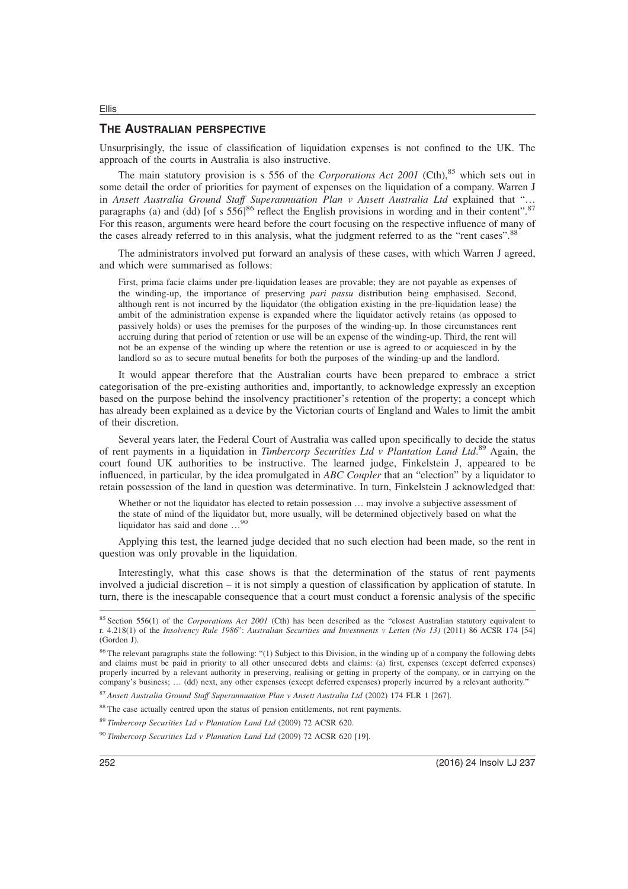#### **THE AUSTRALIAN PERSPECTIVE**

Ellis

Unsurprisingly, the issue of classification of liquidation expenses is not confined to the UK. The approach of the courts in Australia is also instructive.

The main statutory provision is s 556 of the *Corporations Act 2001* (Cth),<sup>85</sup> which sets out in some detail the order of priorities for payment of expenses on the liquidation of a company. Warren J in *Ansett Australia Ground Staff Superannuation Plan v Ansett Australia Ltd* explained that "… paragraphs (a) and (dd) [of s  $55\overline{6}$ ]<sup>86</sup> reflect the English provisions in wording and in their content".<sup>87</sup> For this reason, arguments were heard before the court focusing on the respective influence of many of the cases already referred to in this analysis, what the judgment referred to as the "rent cases".<sup>88</sup>

The administrators involved put forward an analysis of these cases, with which Warren J agreed, and which were summarised as follows:

First, prima facie claims under pre-liquidation leases are provable; they are not payable as expenses of the winding-up, the importance of preserving *pari passu* distribution being emphasised. Second, although rent is not incurred by the liquidator (the obligation existing in the pre-liquidation lease) the ambit of the administration expense is expanded where the liquidator actively retains (as opposed to passively holds) or uses the premises for the purposes of the winding-up. In those circumstances rent accruing during that period of retention or use will be an expense of the winding-up. Third, the rent will not be an expense of the winding up where the retention or use is agreed to or acquiesced in by the landlord so as to secure mutual benefits for both the purposes of the winding-up and the landlord.

It would appear therefore that the Australian courts have been prepared to embrace a strict categorisation of the pre-existing authorities and, importantly, to acknowledge expressly an exception based on the purpose behind the insolvency practitioner's retention of the property; a concept which has already been explained as a device by the Victorian courts of England and Wales to limit the ambit of their discretion.

Several years later, the Federal Court of Australia was called upon specifically to decide the status of rent payments in a liquidation in *Timbercorp Securities Ltd v Plantation Land Ltd*. <sup>89</sup> Again, the court found UK authorities to be instructive. The learned judge, Finkelstein J, appeared to be influenced, in particular, by the idea promulgated in *ABC Coupler* that an "election" by a liquidator to retain possession of the land in question was determinative. In turn, Finkelstein J acknowledged that:

Whether or not the liquidator has elected to retain possession ... may involve a subjective assessment of the state of mind of the liquidator but, more usually, will be determined objectively based on what the liquidator has said and done …<sup>90</sup>

Applying this test, the learned judge decided that no such election had been made, so the rent in question was only provable in the liquidation.

Interestingly, what this case shows is that the determination of the status of rent payments involved a judicial discretion – it is not simply a question of classification by application of statute. In turn, there is the inescapable consequence that a court must conduct a forensic analysis of the specific

<sup>87</sup> *Ansett Australia Ground Staff Superannuation Plan v Ansett Australia Ltd* (2002) 174 FLR 1 [267].

<sup>88</sup> The case actually centred upon the status of pension entitlements, not rent payments.

<sup>89</sup> *Timbercorp Securities Ltd v Plantation Land Ltd* (2009) 72 ACSR 620.

<sup>90</sup> *Timbercorp Securities Ltd v Plantation Land Ltd* (2009) 72 ACSR 620 [19].

<sup>85</sup> Section 556(1) of the *Corporations Act 2001* (Cth) has been described as the "closest Australian statutory equivalent to r. 4.218(1) of the *Insolvency Rule 1986*": *Australian Securities and Investments v Letten (No 13)* (2011) 86 ACSR 174 [54] (Gordon J).

<sup>&</sup>lt;sup>86</sup> The relevant paragraphs state the following: "(1) Subject to this Division, in the winding up of a company the following debts and claims must be paid in priority to all other unsecured debts and claims: (a) first, expenses (except deferred expenses) properly incurred by a relevant authority in preserving, realising or getting in property of the company, or in carrying on the company's business; … (dd) next, any other expenses (except deferred expenses) properly incurred by a relevant authority."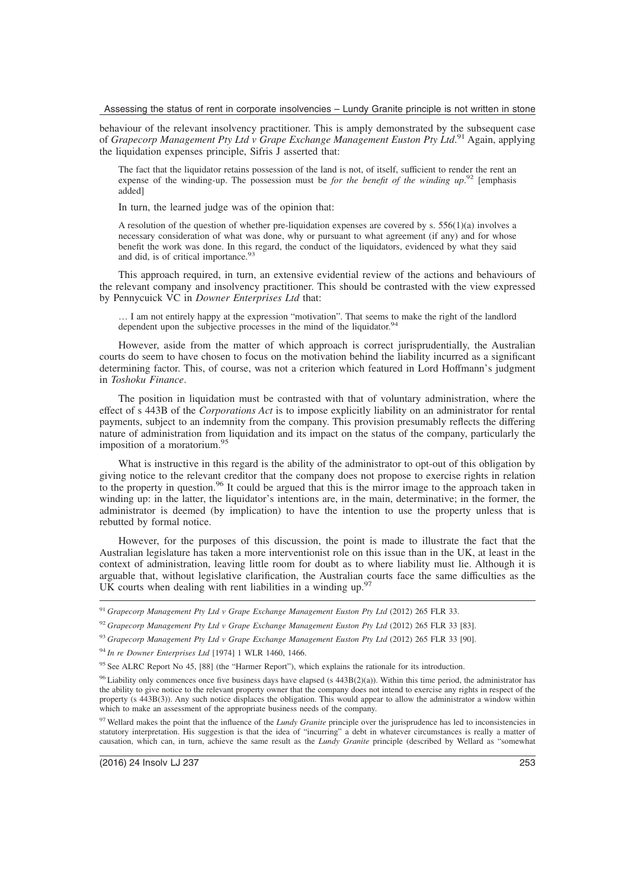behaviour of the relevant insolvency practitioner. This is amply demonstrated by the subsequent case of *Grapecorp Management Pty Ltd v Grape Exchange Management Euston Pty Ltd*. <sup>91</sup> Again, applying the liquidation expenses principle, Sifris J asserted that:

The fact that the liquidator retains possession of the land is not, of itself, sufficient to render the rent an expense of the winding-up. The possession must be *for the benefit of the winding up*.<sup>92</sup> [emphasis added]

In turn, the learned judge was of the opinion that:

A resolution of the question of whether pre-liquidation expenses are covered by s.  $556(1)(a)$  involves a necessary consideration of what was done, why or pursuant to what agreement (if any) and for whose benefit the work was done. In this regard, the conduct of the liquidators, evidenced by what they said and did, is of critical importance.<sup>93</sup>

This approach required, in turn, an extensive evidential review of the actions and behaviours of the relevant company and insolvency practitioner. This should be contrasted with the view expressed by Pennycuick VC in *Downer Enterprises Ltd* that:

… I am not entirely happy at the expression "motivation". That seems to make the right of the landlord dependent upon the subjective processes in the mind of the liquidator.<sup>9</sup>

However, aside from the matter of which approach is correct jurisprudentially, the Australian courts do seem to have chosen to focus on the motivation behind the liability incurred as a significant determining factor. This, of course, was not a criterion which featured in Lord Hoffmann's judgment in *Toshoku Finance*.

The position in liquidation must be contrasted with that of voluntary administration, where the effect of s 443B of the *Corporations Act* is to impose explicitly liability on an administrator for rental payments, subject to an indemnity from the company. This provision presumably reflects the differing nature of administration from liquidation and its impact on the status of the company, particularly the imposition of a moratorium.<sup>9</sup>

What is instructive in this regard is the ability of the administrator to opt-out of this obligation by giving notice to the relevant creditor that the company does not propose to exercise rights in relation to the property in question.<sup>96</sup> It could be argued that this is the mirror image to the approach taken in winding up: in the latter, the liquidator's intentions are, in the main, determinative; in the former, the administrator is deemed (by implication) to have the intention to use the property unless that is rebutted by formal notice.

However, for the purposes of this discussion, the point is made to illustrate the fact that the Australian legislature has taken a more interventionist role on this issue than in the UK, at least in the context of administration, leaving little room for doubt as to where liability must lie. Although it is arguable that, without legislative clarification, the Australian courts face the same difficulties as the UK courts when dealing with rent liabilities in a winding  $up<sup>9</sup>$ 

<sup>91</sup> *Grapecorp Management Pty Ltd v Grape Exchange Management Euston Pty Ltd* (2012) 265 FLR 33.

<sup>92</sup> *Grapecorp Management Pty Ltd v Grape Exchange Management Euston Pty Ltd* (2012) 265 FLR 33 [83].

<sup>93</sup> *Grapecorp Management Pty Ltd v Grape Exchange Management Euston Pty Ltd* (2012) 265 FLR 33 [90].

<sup>94</sup> *In re Downer Enterprises Ltd* [1974] 1 WLR 1460, 1466.

<sup>&</sup>lt;sup>95</sup> See ALRC Report No 45, [88] (the "Harmer Report"), which explains the rationale for its introduction.

<sup>&</sup>lt;sup>96</sup> Liability only commences once five business days have elapsed (s  $443B(2)(a)$ ). Within this time period, the administrator has the ability to give notice to the relevant property owner that the company does not intend to exercise any rights in respect of the property (s 443B(3)). Any such notice displaces the obligation. This would appear to allow the administrator a window within which to make an assessment of the appropriate business needs of the company.

<sup>&</sup>lt;sup>97</sup> Wellard makes the point that the influence of the *Lundy Granite* principle over the jurisprudence has led to inconsistencies in statutory interpretation. His suggestion is that the idea of "incurring" a debt in whatever circumstances is really a matter of causation, which can, in turn, achieve the same result as the *Lundy Granite* principle (described by Wellard as "somewhat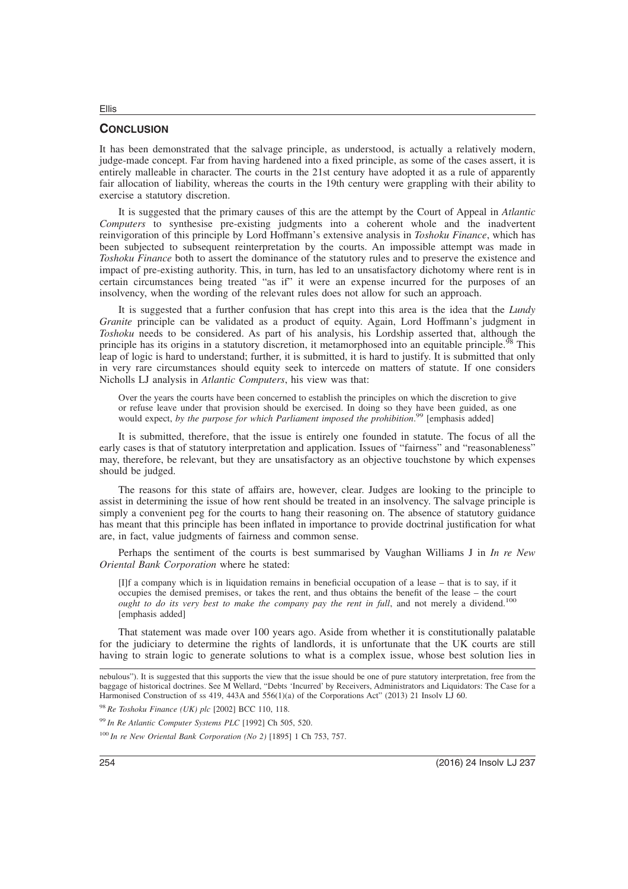### **CONCLUSION**

Ellis

It has been demonstrated that the salvage principle, as understood, is actually a relatively modern, judge-made concept. Far from having hardened into a fixed principle, as some of the cases assert, it is entirely malleable in character. The courts in the 21st century have adopted it as a rule of apparently fair allocation of liability, whereas the courts in the 19th century were grappling with their ability to exercise a statutory discretion.

It is suggested that the primary causes of this are the attempt by the Court of Appeal in *Atlantic Computers* to synthesise pre-existing judgments into a coherent whole and the inadvertent reinvigoration of this principle by Lord Hoffmann's extensive analysis in *Toshoku Finance*, which has been subjected to subsequent reinterpretation by the courts. An impossible attempt was made in *Toshoku Finance* both to assert the dominance of the statutory rules and to preserve the existence and impact of pre-existing authority. This, in turn, has led to an unsatisfactory dichotomy where rent is in certain circumstances being treated "as if" it were an expense incurred for the purposes of an insolvency, when the wording of the relevant rules does not allow for such an approach.

It is suggested that a further confusion that has crept into this area is the idea that the *Lundy Granite* principle can be validated as a product of equity. Again, Lord Hoffmann's judgment in *Toshoku* needs to be considered. As part of his analysis, his Lordship asserted that, although the principle has its origins in a statutory discretion, it metamorphosed into an equitable principle.<sup>98</sup> This leap of logic is hard to understand; further, it is submitted, it is hard to justify. It is submitted that only in very rare circumstances should equity seek to intercede on matters of statute. If one considers Nicholls LJ analysis in *Atlantic Computers*, his view was that:

Over the years the courts have been concerned to establish the principles on which the discretion to give or refuse leave under that provision should be exercised. In doing so they have been guided, as one would expect, *by the purpose for which Parliament imposed the prohibition*. <sup>99</sup> [emphasis added]

It is submitted, therefore, that the issue is entirely one founded in statute. The focus of all the early cases is that of statutory interpretation and application. Issues of "fairness" and "reasonableness" may, therefore, be relevant, but they are unsatisfactory as an objective touchstone by which expenses should be judged.

The reasons for this state of affairs are, however, clear. Judges are looking to the principle to assist in determining the issue of how rent should be treated in an insolvency. The salvage principle is simply a convenient peg for the courts to hang their reasoning on. The absence of statutory guidance has meant that this principle has been inflated in importance to provide doctrinal justification for what are, in fact, value judgments of fairness and common sense.

Perhaps the sentiment of the courts is best summarised by Vaughan Williams J in *In re New Oriental Bank Corporation* where he stated:

[I]f a company which is in liquidation remains in beneficial occupation of a lease – that is to say, if it occupies the demised premises, or takes the rent, and thus obtains the benefit of the lease – the court *ought to do its very best to make the company pay the rent in full*, and not merely a dividend.<sup>100</sup> [emphasis added]

That statement was made over 100 years ago. Aside from whether it is constitutionally palatable for the judiciary to determine the rights of landlords, it is unfortunate that the UK courts are still having to strain logic to generate solutions to what is a complex issue, whose best solution lies in

nebulous"). It is suggested that this supports the view that the issue should be one of pure statutory interpretation, free from the baggage of historical doctrines. See M Wellard, "Debts 'Incurred' by Receivers, Administrators and Liquidators: The Case for a Harmonised Construction of ss 419, 443A and 556(1)(a) of the Corporations Act" (2013) 21 Insolv LJ 60.

<sup>98</sup> *Re Toshoku Finance (UK) plc* [2002] BCC 110, 118.

<sup>99</sup> *In Re Atlantic Computer Systems PLC* [1992] Ch 505, 520.

<sup>100</sup> *In re New Oriental Bank Corporation (No 2)* [1895] 1 Ch 753, 757.